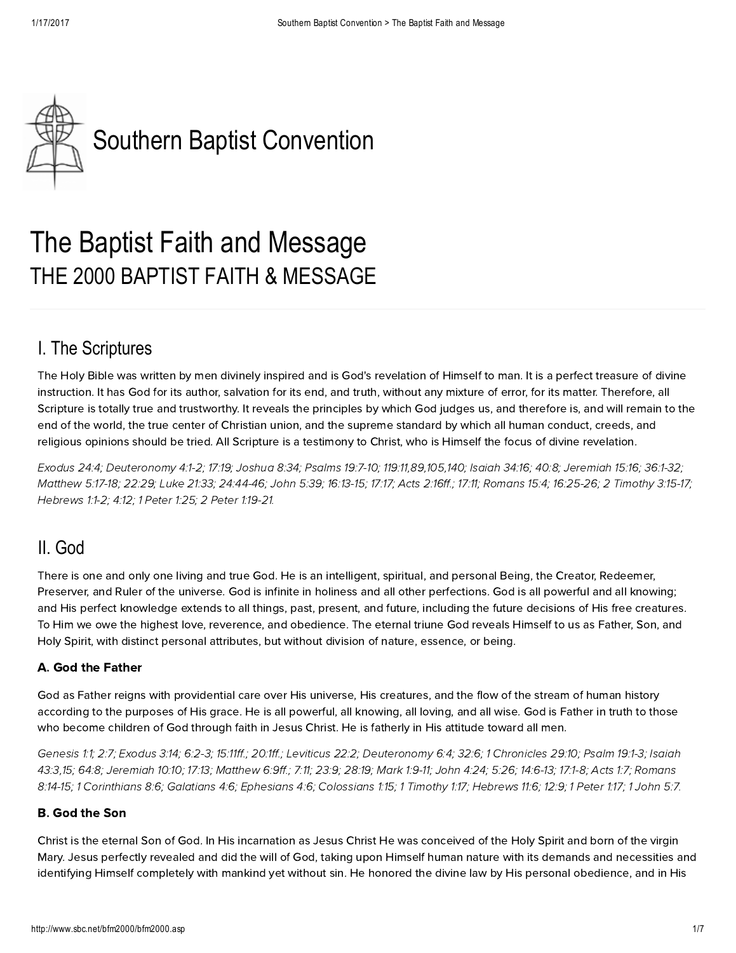

# The Baptist Faith and Message THE 2000 BAPTIST FAITH & MESSAGE

# I. The Scriptures

The Holy Bible was written by men divinely inspired and is God's revelation of Himself to man. It is a perfect treasure of divine instruction. It has God for its author, salvation for its end, and truth, without any mixture of error, for its matter. Therefore, all Scripture is totally true and trustworthy. It reveals the principles by which God judges us, and therefore is, and will remain to the end of the world, the true center of Christian union, and the supreme standard by which all human conduct, creeds, and religious opinions should be tried. All Scripture is a testimony to Christ, who is Himself the focus of divine revelation.

[xodus](http://biblia.com/bible/hcsb/Exodus%2024.4) 24:4; [Deuteronom](http://biblia.com/bible/hcsb/Deuteronomy%204.1-2) 4:1-2; [17:19;](http://biblia.com/bible/hcsb/Deuteronomy%2017.19) [Joshua](http://biblia.com/bible/hcsb/Joshua%208.34) 8:34; [Psalms](http://biblia.com/bible/hcsb/Psalms%2019.7-10) 19:7-10; [119:11,](http://biblia.com/bible/hcsb/Psalms%20119.11)[89](http://biblia.com/bible/hcsb/Psalms%20119.89),[105](http://biblia.com/bible/hcsb/Psalms%20119.105),[140;](http://biblia.com/bible/hcsb/Psalms%20119.140) [Isaiah](http://biblia.com/bible/hcsb/Isaiah%2034.16) 34:16; [40:8;](http://biblia.com/bible/hcsb/Isaiah%2040.8) [Jeremiah](http://biblia.com/bible/hcsb/Jeremiah%2015.16) 15:16; [36:1-32;](http://biblia.com/bible/hcsb/Jeremiah%2036.1-32) [Matthew](http://biblia.com/bible/hcsb/Matthew%205.17-18) 5:17-18; [22:29](http://biblia.com/bible/hcsb/Matthew%2022.29); Luke [21:33;](http://biblia.com/bible/hcsb/Luke%2021.33) [24:44-46](http://biblia.com/bible/hcsb/Luke%2024.44-46); [John](http://biblia.com/bible/hcsb/John%205.39) 5:39; [16:13-15](http://biblia.com/bible/hcsb/John%2016.13-15); [17:17](http://biblia.com/bible/hcsb/John%2017.17); Acts [2:16ff.](http://biblia.com/bible/hcsb/Acts%202.16ff); [17:11;](http://biblia.com/bible/hcsb/Acts%2017.11) [Romans](http://biblia.com/bible/hcsb/Romans%2015.4) 15:4; [16:25-26](http://biblia.com/bible/hcsb/Romans%2016.25-26); 2 [Timoth](http://biblia.com/bible/hcsb/2%20Timothy%203.15-17)y 3:15-17; Hebrews 1:1-2; [4:12;](http://biblia.com/bible/hcsb/Hebrews%204.12) 1 [Peter](http://biblia.com/bible/hcsb/1%20Peter%201.25) 1:25; 2 Peter [1:19-21](http://biblia.com/bible/hcsb/2%20Peter%201.19-21).

# II. God

There is one and only one living and true God. He is an intelligent, spiritual, and personal Being, the Creator, Redeemer, Preserver, and Ruler of the universe. God is infinite in holiness and all other perfections. God is all powerful and all knowing; and His perfect knowledge extends to all things, past, present, and future, including the future decisions of His free creatures. To Him we owe the highest love, reverence, and obedience. The eternal triune God reveals Himself to us as Father, Son, and Holy Spirit, with distinct personal attributes, but without division of nature, essence, or being.

#### A. God the Father

God as Father reigns with providential care over His universe, His creatures, and the flow of the stream of human history according to the purposes of His grace. He is all powerful, all knowing, all loving, and all wise. God is Father in truth to those who become children of God through faith in Jesus Christ. He is fatherly in His attitude toward all men.

[Genesis](http://biblia.com/bible/hcsb/Genesis%201.1) 1:1; [2:7;](http://biblia.com/bible/hcsb/Genesis%202.7) E[xodus](http://biblia.com/bible/hcsb/Exodus%203.14) 3:14; [6:2-3](http://biblia.com/bible/hcsb/Exodus%206.2-3); [15:11ff](http://biblia.com/bible/hcsb/Exodus%2015.11ff).; [20:1ff](http://biblia.com/bible/hcsb/Exodus%2020.1ff).; [Leviticus](http://biblia.com/bible/hcsb/Leviticus%2022.2) 22:2; [Deuteronom](http://biblia.com/bible/hcsb/Deuteronomy%206.4)y 6:4; [32:6;](http://biblia.com/bible/hcsb/Deuteronomy%2032.6) 1 [Chronicles](http://biblia.com/bible/hcsb/1%20Chronicles%2029.10) 29:10; [Psalm](http://biblia.com/bible/hcsb/Psalm%2019.1-3) 19:1-3; Isaiah 43:3[,15](http://biblia.com/bible/hcsb/Isaiah%2043.15); [64:8](http://biblia.com/bible/hcsb/Isaiah%2064.8); [Jeremiah](http://biblia.com/bible/hcsb/Jeremiah%2010.10) 10:10; [17:13;](http://biblia.com/bible/hcsb/Jeremiah%2017.13) [Matthew](http://biblia.com/bible/hcsb/Matthew%206.9ff) 6:9ff.; [7:11;](http://biblia.com/bible/hcsb/Matthew%207.11) [23:9](http://biblia.com/bible/hcsb/Matthew%2023.9); [28:19](http://biblia.com/bible/hcsb/Matthew%2028.19); [Mark](http://biblia.com/bible/hcsb/Mark%201.9-11) 1:9-11; [John](http://biblia.com/bible/hcsb/John%204.24) 4:24; [5:26;](http://biblia.com/bible/hcsb/John%205.26) [14:6-13](http://biblia.com/bible/hcsb/John%2014.6-13); [17:1-8;](http://biblia.com/bible/hcsb/John%2017.1-8) [Acts](http://biblia.com/bible/hcsb/Acts%201.7) 1:7; Romans 8:14-15; 1 [Corinthians](http://biblia.com/bible/hcsb/Romans%208.14-15) 8:6; [Galatians](http://biblia.com/bible/hcsb/Galatians%204.6) 4:6; E[phesians](http://biblia.com/bible/hcsb/Ephesians%204.6) 4:6; [Colossians](http://biblia.com/bible/hcsb/Colossians%201.15) 1:15; 1 [Timoth](http://biblia.com/bible/hcsb/1%20Timothy%201.17)y 1:17; Hebrews 11:6; [12:9;](http://biblia.com/bible/hcsb/Hebrews%2012.9) 1 [Peter](http://biblia.com/bible/hcsb/1%20Peter%201.17) 1:17; 1 [John](http://biblia.com/bible/hcsb/1%20John%205.7) 5:7.

#### **B.** God the Son

Christ is the eternal Son of God. In His incarnation as Jesus Christ He was conceived of the Holy Spirit and born of the virgin Mary. Jesus perfectly revealed and did the will of God, taking upon Himself human nature with its demands and necessities and identifying Himself completely with mankind yet without sin. He honored the divine law by His personal obedience, and in His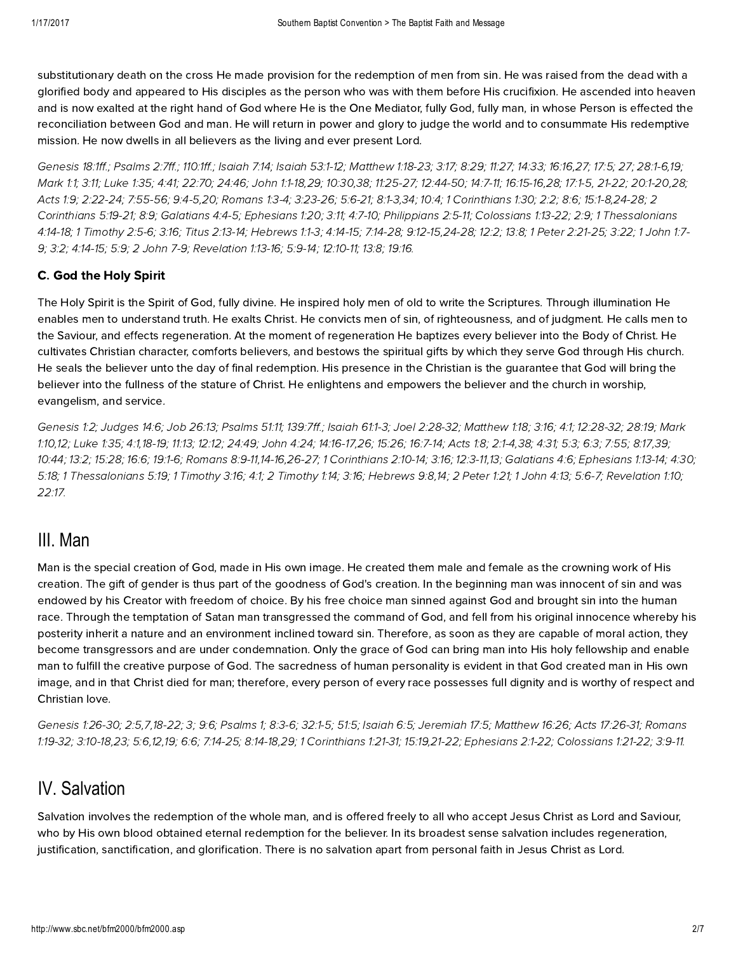substitutionary death on the cross He made provision for the redemption of men from sin. He was raised from the dead with a glorified body and appeared to His disciples as the person who was with them before His crucifixion. He ascended into heaven and is now exalted at the right hand of God where He is the One Mediator, fully God, fully man, in whose Person is effected the reconciliation between God and man. He will return in power and glory to judge the world and to consummate His redemptive mission. He now dwells in all believers as the living and ever present Lord.

[Genesis](http://biblia.com/bible/hcsb/Genesis%2018.1ff) 18:1ff.; [Psalms](http://biblia.com/bible/hcsb/Psalms%202.7ff) 2:7ff.; [110:1ff.](http://biblia.com/bible/hcsb/Psalms%20110.1ff); [Isaiah](http://biblia.com/bible/hcsb/Isaiah%207.14) 7:14; Isaiah [53:1-12;](http://biblia.com/bible/hcsb/Isaiah%2053.1-12) [Matthew](http://biblia.com/bible/hcsb/Matthew%201.18-23) 1:18-23; [3:17;](http://biblia.com/bible/hcsb/Matthew%203.17) [8:29;](http://biblia.com/bible/hcsb/Matthew%208.29) [11:27;](http://biblia.com/bible/hcsb/Matthew%2011.27) [14:33;](http://biblia.com/bible/hcsb/Matthew%2014.33) [16:16](http://biblia.com/bible/hcsb/Matthew%2016.16)[,27;](http://biblia.com/bible/hcsb/Matthew%2016.27) [17:5](http://biblia.com/bible/hcsb/Matthew%2017.5); [27](http://biblia.com/bible/hcsb/Matthew%2017.27); [28:1-6,](http://biblia.com/bible/hcsb/Matthew%2028.1-6)[19;](http://biblia.com/bible/hcsb/Matthew%2028.19) [Mark](http://biblia.com/bible/hcsb/Mark%201.1) 1:1; [3:11;](http://biblia.com/bible/hcsb/Mark%203.11) [Luke](http://biblia.com/bible/hcsb/Luke%201.35) 1:35; [4:41;](http://biblia.com/bible/hcsb/Luke%204.41) [22:70](http://biblia.com/bible/hcsb/Luke%2022.70); [24:46](http://biblia.com/bible/hcsb/Luke%2024.46); [John](http://biblia.com/bible/hcsb/John%201.1-18) 1:1-18[,29;](http://biblia.com/bible/hcsb/John%201.29) [10:30](http://biblia.com/bible/hcsb/John%2010.30)[,38;](http://biblia.com/bible/hcsb/John%2010.38) [11:25-27](http://biblia.com/bible/hcsb/John%2011.25-27); [12:44-50](http://biblia.com/bible/hcsb/John%2012.44-50); [14:7-11;](http://biblia.com/bible/hcsb/John%2014.7-11) [16:15-16,](http://biblia.com/bible/hcsb/John%2016.15-16)[28](http://biblia.com/bible/hcsb/John%2016.28); [17:1-5,](http://biblia.com/bible/hcsb/John%2017.1-5) [21-22;](http://biblia.com/bible/hcsb/John%2017.21-22) [20:1-20,](http://biblia.com/bible/hcsb/John%2020.1-20)[28](http://biblia.com/bible/hcsb/John%2020.28); [Acts](http://biblia.com/bible/hcsb/Acts%201.9) 1:9; [2:22-24;](http://biblia.com/bible/hcsb/Acts%202.22-24) [7:55-56](http://biblia.com/bible/hcsb/Acts%207.55-56); [9:4-5,](http://biblia.com/bible/hcsb/Acts%209.4-5)[20](http://biblia.com/bible/hcsb/Acts%209.20); [Romans](http://biblia.com/bible/hcsb/Romans%201.3-4) 1:3-4; [3:23-26](http://biblia.com/bible/hcsb/Romans%203.23-26); [5:6-21](http://biblia.com/bible/hcsb/Romans%205.6-21); [8:1-3](http://biblia.com/bible/hcsb/Romans%208.1-3)[,34;](http://biblia.com/bible/hcsb/Romans%208.34) [10:4](http://biblia.com/bible/hcsb/Romans%2010.4); 1 [Corinthians](http://biblia.com/bible/hcsb/1%20Corinthians%201.30) 1:30; [2:2](http://biblia.com/bible/hcsb/1%20Corinthians%202.2); [8:6](http://biblia.com/bible/hcsb/1%20Corinthians%208.6); [15:1-8](http://biblia.com/bible/hcsb/1%20Corinthians%2015.1-8)[,2](http://biblia.com/bible/hcsb/2%20Corinthians%205.19-21)[4-28](http://biblia.com/bible/hcsb/1%20Corinthians%2015.24-28)[;](http://biblia.com/bible/hcsb/2%20Corinthians%205.19-21) 2 Corinthians 5:19-21; [8:9](http://biblia.com/bible/hcsb/2%20Corinthians%208.9); [Galatians](http://biblia.com/bible/hcsb/Galatians%204.4-5) 4:4-5; E[phesians](http://biblia.com/bible/hcsb/Ephesians%201.20) 1:20; [3:11](http://biblia.com/bible/hcsb/Ephesians%203.11); [4:7-10](http://biblia.com/bible/hcsb/Ephesians%204.7-10); [Philippians](http://biblia.com/bible/hcsb/Philippians%202.5-11) 2:5-11; [Colossians](http://biblia.com/bible/hcsb/Colossians%201.13-22) 1:13-22; [2:9;](http://biblia.com/bible/hcsb/Colossians%202.9) 1 [Thessalonians](http://biblia.com/bible/hcsb/1%20Thessalonians%204.14-18) 4:14-18; 1 [Timoth](http://biblia.com/bible/hcsb/1%20Timothy%202.5-6)y 2:5-6; [3:16;](http://biblia.com/bible/hcsb/1%20Timothy%203.16) Titus [2:13-14](http://biblia.com/bible/hcsb/Titus%202.13-14); Hebrews 1:1-3; [4:14-15;](http://biblia.com/bible/hcsb/Hebrews%204.14-15) [7:14-28](http://biblia.com/bible/hcsb/Hebrews%207.14-28); [9](http://biblia.com/bible/hcsb/1%20John%201.7-9)[:12-1](http://biblia.com/bible/hcsb/Hebrews%209.12-15)[5,](http://biblia.com/bible/hcsb/1%20John%201.7-9)[24-28](http://biblia.com/bible/hcsb/Hebrews%209.24-28)[;](http://biblia.com/bible/hcsb/1%20John%201.7-9) [12:2;](http://biblia.com/bible/hcsb/Hebrews%2012.2) [13:8](http://biblia.com/bible/hcsb/Hebrews%2013.8); 1 Peter [2:21-25;](http://biblia.com/bible/hcsb/1%20Peter%202.21-25) [3:22](http://biblia.com/bible/hcsb/1%20Peter%203.22); 1 John 1:7-9; [3:2](http://biblia.com/bible/hcsb/1%20John%203.2); [4:14-15](http://biblia.com/bible/hcsb/1%20John%204.14-15); [5:9;](http://biblia.com/bible/hcsb/1%20John%205.9) 2 [John](http://biblia.com/bible/hcsb/2%20John%207-9) 7-9; [Revelation](http://biblia.com/bible/hcsb/Revelation%201.13-16) 1:13-16; [5:9-14](http://biblia.com/bible/hcsb/Revelation%205.9-14); [12:10-11;](http://biblia.com/bible/hcsb/Revelation%2012.10-11) [13:8;](http://biblia.com/bible/hcsb/Revelation%2013.8) [19:16](http://biblia.com/bible/hcsb/Revelation%2019.16).

#### C. God the Holy Spirit

The Holy Spirit is the Spirit of God, fully divine. He inspired holy men of old to write the Scriptures. Through illumination He enables men to understand truth. He exalts Christ. He convicts men of sin, of righteousness, and of judgment. He calls men to the Saviour, and effects regeneration. At the moment of regeneration He baptizes every believer into the Body of Christ. He cultivates Christian character, comforts believers, and bestows the spiritual gifts by which they serve God through His church. He seals the believer unto the day of final redemption. His presence in the Christian is the quarantee that God will bring the believer into the fullness of the stature of Christ. He enlightens and empowers the believer and the church in worship, evangelism, and service.

[Genesis](http://biblia.com/bible/hcsb/Genesis%201.2) 1:2; [Judges](http://biblia.com/bible/hcsb/Judges%2014.6) 14:6; Job [26:13](http://biblia.com/bible/hcsb/Job%2026.13); [Psalms](http://biblia.com/bible/hcsb/Psalms%2051.11) 51:11; [139:7ff](http://biblia.com/bible/hcsb/Psalms%20139.7ff).; [Isaiah](http://biblia.com/bible/hcsb/Isaiah%2061.1-3) 61:1-3; Joel [2:28-32;](http://biblia.com/bible/hcsb/Joel%202.28-32) [Matthew](http://biblia.com/bible/hcsb/Matthew%201.18) 1:18; [3:16;](http://biblia.com/bible/hcsb/Matthew%203.16) [4:1](http://biblia.com/bible/hcsb/Matthew%204.1); [12:28-32](http://biblia.com/bible/hcsb/Matthew%2012.28-32); [28:19;](http://biblia.com/bible/hcsb/Matthew%2028.19) Mark 1:10[,12](http://biblia.com/bible/hcsb/Mark%201.12); [Luke](http://biblia.com/bible/hcsb/Luke%201.35) 1:35; [4:1](http://biblia.com/bible/hcsb/Luke%204.1)[,18-19;](http://biblia.com/bible/hcsb/Luke%204.18-19) [11:13;](http://biblia.com/bible/hcsb/Luke%2011.13) [12:12](http://biblia.com/bible/hcsb/Luke%2012.12); [24:49](http://biblia.com/bible/hcsb/Luke%2024.49); [John](http://biblia.com/bible/hcsb/John%204.24) 4:24; [14:16-17,26;](http://biblia.com/bible/hcsb/Mark%201.10) [15:26;](http://biblia.com/bible/hcsb/John%2015.26) [16:7-14;](http://biblia.com/bible/hcsb/John%2016.7-14) [Acts](http://biblia.com/bible/hcsb/Acts%201.8) 1:8; [2:1-4](http://biblia.com/bible/hcsb/Acts%202.1-4)[,38](http://biblia.com/bible/hcsb/Acts%202.38); [4:31;](http://biblia.com/bible/hcsb/Acts%204.31) [5:3;](http://biblia.com/bible/hcsb/Acts%205.3) [6:3;](http://biblia.com/bible/hcsb/Acts%206.3) [7:55](http://biblia.com/bible/hcsb/Acts%207.55); [8:17,](http://biblia.com/bible/hcsb/Acts%208.17)[39;](http://biblia.com/bible/hcsb/Acts%208.39) [10:44](http://biblia.com/bible/hcsb/Acts%2010.44); [13:2;](http://biblia.com/bible/hcsb/Acts%2013.2) [15:28](http://biblia.com/bible/hcsb/Acts%2015.28); [16:6;](http://biblia.com/bible/hcsb/Acts%2016.6) [19:1-6](http://biblia.com/bible/hcsb/Acts%2019.1-6); [Romans](http://biblia.com/bible/hcsb/Romans%208.9-11) 8:9-11[,14-16](http://biblia.com/bible/hcsb/Romans%208.14-16),[26-27;](http://biblia.com/bible/hcsb/Romans%208.26-27) 1 [Corinthians](http://biblia.com/bible/hcsb/1%20Corinthians%202.10-14) 2:10-14; [3:16;](http://biblia.com/bible/hcsb/1%20Corinthians%203.16) [12:3-11](http://biblia.com/bible/hcsb/1%20Corinthians%2012.3-11),[13](http://biblia.com/bible/hcsb/1%20Corinthians%2012.13); [Galatians](http://biblia.com/bible/hcsb/Galatians%204.6) 4:6; [phesians](http://biblia.com/bible/hcsb/Ephesians%201.13-14) 1:13-14; [4:30](http://biblia.com/bible/hcsb/Ephesians%204.30); [5:18;](http://biblia.com/bible/hcsb/Ephesians%205.18) 1 [Thessalonians](http://biblia.com/bible/hcsb/1%20Thessalonians%205.19) 5:19; 1 [Timoth](http://biblia.com/bible/hcsb/2%20Timothy%201.14)y 3:16; [4:1;](http://biblia.com/bible/hcsb/1%20Timothy%204.1) 2 Timothy 1:14; [3:16;](http://biblia.com/bible/hcsb/2%20Timothy%203.16) Hebrews 9:8.[14;](http://biblia.com/bible/hcsb/Hebrews%209.14) 2 [Peter](http://biblia.com/bible/hcsb/2%20Peter%201.21) 1:21; 1 [John](http://biblia.com/bible/hcsb/1%20John%204.13) 4:13; [5:6-7;](http://biblia.com/bible/hcsb/1%20John%205.6-7) [Revelation](http://biblia.com/bible/hcsb/Revelation%201.10) 1:10; [22:17](http://biblia.com/bible/hcsb/Revelation%2022.17).

#### III. Man

Man is the special creation of God, made in His own image. He created them male and female as the crowning work of His creation. The gift of gender is thus part of the goodness of God's creation. In the eginning man was innocent of sin and was endowed by his Creator with freedom of choice. By his free choice man sinned against God and brought sin into the human race. Through the temptation of Satan man transgressed the command of God, and fell from his original innocence whereby his posterity inherit a nature and an environment inclined toward sin. Therefore, as soon as they are capable of moral action, they become transgressors and are under condemnation. Only the grace of God can bring man into His holy fellowship and enable man to fulfill the creative purpose of God. The sacredness of human personality is evident in that God created man in His own image, and in that Christ died for man; therefore, every person of every race possesses full dignity and is worthy of respect and Christian love.

[Genesis](http://biblia.com/bible/hcsb/Genesis%201.26-30) 1:26-30; [2:5](http://biblia.com/bible/hcsb/Genesis%202.5)[,7](http://biblia.com/bible/hcsb/Genesis%202.7)[,18-22;](http://biblia.com/bible/hcsb/Genesis%202.18-22) [3](http://biblia.com/bible/hcsb/Genesis%202.3); [9:6;](http://biblia.com/bible/hcsb/Genesis%209.6) Psalms 1; 8:3-6; 32:1-5; 51:5; [Isaiah](http://biblia.com/bible/hcsb/Isaiah%206.5) 6:5; [Jeremiah](http://biblia.com/bible/hcsb/Jeremiah%2017.5) 17:5; [Matthew](http://biblia.com/bible/hcsb/Matthew%2016.26) 16:26; Acts [17:26-31;](http://biblia.com/bible/hcsb/Acts%2017.26-31) Romans 1:19-32; [3:10-18](http://biblia.com/bible/hcsb/Romans%203.10-18),[23;](http://biblia.com/bible/hcsb/Romans%203.23) [5:6](http://biblia.com/bible/hcsb/Romans%205.6)[,12,](http://biblia.com/bible/hcsb/Romans%205.12)[19;](http://biblia.com/bible/hcsb/Romans%205.19) [6:6](http://biblia.com/bible/hcsb/Romans%206.6); [7:14-25;](http://biblia.com/bible/hcsb/Romans%207.14-25) [8:14-18](http://biblia.com/bible/hcsb/Romans%208.14-18)[,29;](http://biblia.com/bible/hcsb/Romans%208.29) 1 [Corinthians](http://biblia.com/bible/hcsb/Romans%201.19-32) 1:21-31; [15:19,](http://biblia.com/bible/hcsb/1%20Corinthians%2015.19)[21-22](http://biblia.com/bible/hcsb/1%20Corinthians%2015.21-22); [phesians](http://biblia.com/bible/hcsb/Ephesians%202.1-22) 2:1-22; [Colossians](http://biblia.com/bible/hcsb/Colossians%201.21-22) 1:21-22; [3:9-11.](http://biblia.com/bible/hcsb/Colossians%203.9-11)

#### IV. Salvation

Salvation involves the redemption of the whole man, and is offered freely to all who accept Jesus Christ as Lord and Saviour, who by His own blood obtained eternal redemption for the believer. In its broadest sense salvation includes regeneration, justification, sanctification, and glorification. There is no salvation apart from personal faith in Jesus Christ as Lord.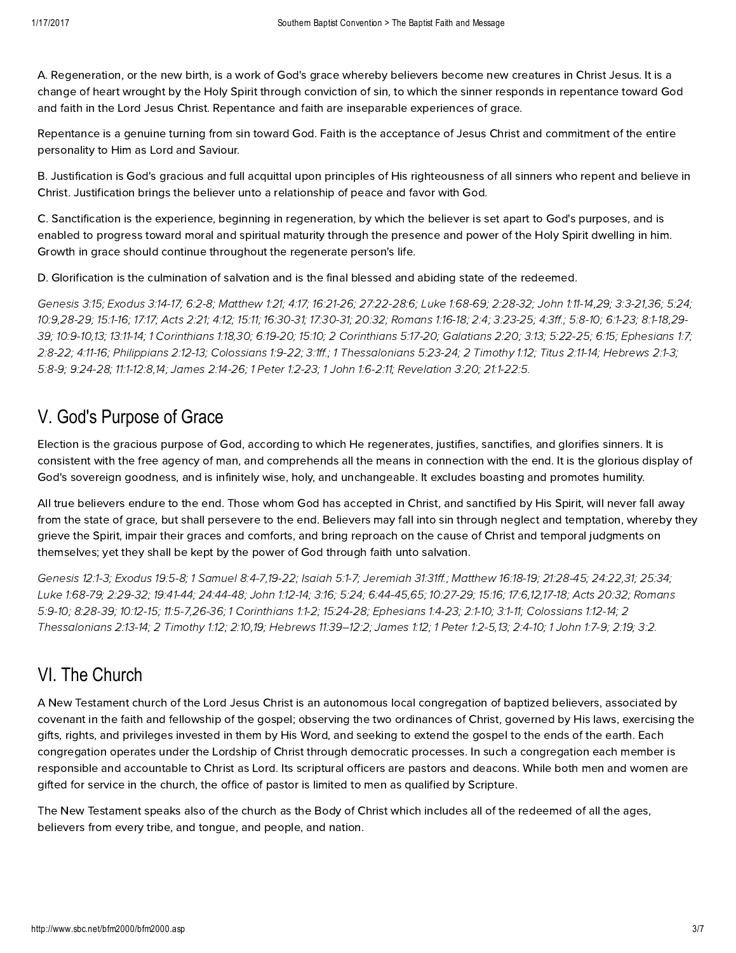A. Regeneration, or the new birth, is a work of God's grace whereby believers become new creatures in Christ Jesus. It is a change of heart wrought by the Holy Spirit through conviction of sin, to which the sinner responds in repentance toward God and faith in the Lord Jesus Christ. Repentance and faith are inseparable experiences of grace.

Repentance is a genuine turning from sin toward God. Faith is the acceptance of Jesus Christ and commitment of the entire personality to Him as Lord and Saviour.

. Justification is God's gracious and full acquittal upon principles of His righteousness of all sinners who repent and elieve in Christ. Justification brings the believer unto a relationship of peace and favor with God.

C. Sanctification is the experience, beginning in regeneration, by which the believer is set apart to God's purposes, and is enabled to progress toward moral and spiritual maturity through the presence and power of the Holy Spirit dwelling in him. Growth in grace should continue throughout the regenerate person's life.

D. Glorification is the culmination of salvation and is the final blessed and abiding state of the redeemed.

[Genesis](http://biblia.com/bible/hcsb/Genesis%203.15) 3:15; E[xodus](http://biblia.com/bible/hcsb/Exodus%203.14-17) 3:14-17; [6:2-8;](http://biblia.com/bible/hcsb/Exodus%206.2-8) [Matthew](http://biblia.com/bible/hcsb/Matthew%201.21) 1:21; [4:17](http://biblia.com/bible/hcsb/Matthew%204.17); [16:21-26](http://biblia.com/bible/hcsb/Matthew%2016.21-26); [27:22-28:6](http://biblia.com/bible/hcsb/Matthew%2027.22-28.6); Luke [1:68-69](http://biblia.com/bible/hcsb/Luke%201.68-69); [2:28-32](http://biblia.com/bible/hcsb/Luke%202.28-32); John [1:11-14](http://biblia.com/bible/hcsb/John%201.11-14).[29;](http://biblia.com/bible/hcsb/John%201.29) [3:3-21](http://biblia.com/bible/hcsb/John%203.3-21).36; [5:24;](http://biblia.com/bible/hcsb/John%205.24) [10:9](http://biblia.com/bible/hcsb/John%2010.9),[28-29](http://biblia.com/bible/hcsb/John%2010.28-29); [15:1-16;](http://biblia.com/bible/hcsb/John%2015.1-16) [17:17;](http://biblia.com/bible/hcsb/John%2017.17) [Acts](http://biblia.com/bible/hcsb/Acts%202.21) 2:21; [4:12;](http://biblia.com/bible/hcsb/Acts%204.12) [15:11;](http://biblia.com/bible/hcsb/Acts%2015.11) [16:30-31](http://biblia.com/bible/hcsb/Acts%2016.30-31); [17:30-31;](http://biblia.com/bible/hcsb/Acts%2017.30-31) [20:32](http://biblia.com/bible/hcsb/Acts%2020.32); [Romans](http://biblia.com/bible/hcsb/Romans%201.16-18) 1:16-18; [2:4](http://biblia.com/bible/hcsb/Romans%202.4); [3:23-25;](http://biblia.com/bible/hcsb/Romans%203.23-25) [4:3ff](http://biblia.com/bible/hcsb/Romans%204.3ff).; [5:8-10;](http://biblia.com/bible/hcsb/Romans%205.8-10) [6:1-23](http://biblia.com/bible/hcsb/Romans%206.1-23); [8:1-18,](http://biblia.com/bible/hcsb/Romans%208.1-18)29- 39; [10:9-10](http://biblia.com/bible/hcsb/Romans%2010.9-10),[13;](http://biblia.com/bible/hcsb/Romans%2010.13) [13:11-14](http://biblia.com/bible/hcsb/Romans%2013.11-14); 1 [Corinthians](http://biblia.com/bible/hcsb/1%20Corinthians%201.18) 1:18[,30](http://biblia.com/bible/hcsb/1%20Corinthians%201.30); [6:19-20](http://biblia.com/bible/hcsb/1%20Corinthians%206.19-20); [15:10;](http://biblia.com/bible/hcsb/1%20Corinthians%2015.10) 2 [Corinthians](http://biblia.com/bible/hcsb/Romans%208.29-39) 5:17-20; [Galatians](http://biblia.com/bible/hcsb/Galatians%202.20) 2:20; [3:13;](http://biblia.com/bible/hcsb/Galatians%203.13) [5:22-25](http://biblia.com/bible/hcsb/Galatians%205.22-25); [6:15;](http://biblia.com/bible/hcsb/Galatians%206.15) [phesians](http://biblia.com/bible/hcsb/Ephesians%201.7) 1:7; [2:8-22](http://biblia.com/bible/hcsb/Ephesians%202.8-22); [4:11-16](http://biblia.com/bible/hcsb/Ephesians%204.11-16); [Philippians](http://biblia.com/bible/hcsb/Philippians%202.12-13) 2:12-13; [Colossians](http://biblia.com/bible/hcsb/Colossians%201.9-22) 1:9-22; [3:1ff.](http://biblia.com/bible/hcsb/Colossians%203.1ff); 1 [Thessalonians](http://biblia.com/bible/hcsb/1%20Thessalonians%205.23-24) 5:23-24; 2 [Timoth](http://biblia.com/bible/hcsb/2%20Timothy%201.12)y 1:12; Titus [2:11-14](http://biblia.com/bible/hcsb/Titus%202.11-14); Hebrews 2:1-3; [5:8-9;](http://biblia.com/bible/hcsb/Hebrews%205.8-9) [9:24-28](http://biblia.com/bible/hcsb/Hebrews%209.24-28); [11:1-12:8](http://biblia.com/bible/hcsb/Hebrews%2011.1-12.8)[,14;](http://biblia.com/bible/hcsb/Hebrews%2011.14) James [2:14-26](http://biblia.com/bible/hcsb/James%202.14-26); 1 Peter [1:2-23](http://biblia.com/bible/hcsb/1%20Peter%201.2-23); 1 John [1:6-2:11;](http://biblia.com/bible/hcsb/1%20John%201.6-2.11) [Revelation](http://biblia.com/bible/hcsb/Revelation%203.20) 3:20; [21:1-22:5](http://biblia.com/bible/hcsb/Revelation%2021.1-22.5).

# V. God's Purpose of Grace

lection is the gracious purpose of God, according to which He regenerates, justifies, sanctifies, and glorifies sinners. It is consistent with the free agency of man, and comprehends all the means in connection with the end. It is the glorious display of God's sovereign goodness, and is infinitely wise, holy, and unchangeable. It excludes boasting and promotes humility.

All true believers endure to the end. Those whom God has accepted in Christ, and sanctified by His Spirit, will never fall away from the state of grace, but shall persevere to the end. Believers may fall into sin through neglect and temptation, whereby they grieve the Spirit, impair their graces and comforts, and bring reproach on the cause of Christ and temporal judgments on themselves; yet they shall be kept by the power of God through faith unto salvation.

[Genesis](http://biblia.com/bible/hcsb/Genesis%2012.1-3) 12:1-3; E[xodus](http://biblia.com/bible/hcsb/Exodus%2019.5-8) 19:5-8; 1 S[amuel](http://biblia.com/bible/hcsb/1%20Samuel%208.4-7) 8:4-7,[19-22;](http://biblia.com/bible/hcsb/1%20Samuel%208.19-22) [Isaiah](http://biblia.com/bible/hcsb/Isaiah%205.1-7) 5:1-7; [Jeremiah](http://biblia.com/bible/hcsb/Jeremiah%2031.31ff) 31:31ff.; [Matthew](http://biblia.com/bible/hcsb/Matthew%2016.18-19) 16:18-19; [21:28-45;](http://biblia.com/bible/hcsb/Matthew%2021.28-45) [24:22](http://biblia.com/bible/hcsb/Matthew%2024.22),[31](http://biblia.com/bible/hcsb/Matthew%2024.31); [25:34](http://biblia.com/bible/hcsb/Matthew%2025.34); Luke [1:68-79;](http://biblia.com/bible/hcsb/Luke%201.68-79) [2:29-32](http://biblia.com/bible/hcsb/Luke%202.29-32); [19:41-44;](http://biblia.com/bible/hcsb/Luke%2019.41-44) [24:44-48](http://biblia.com/bible/hcsb/Luke%2024.44-48); John [1:12-14](http://biblia.com/bible/hcsb/John%201.12-14); [3:16;](http://biblia.com/bible/hcsb/John%203.16) [5:24](http://biblia.com/bible/hcsb/John%205.24); [6:44-45,](http://biblia.com/bible/hcsb/John%206.44-45)[65](http://biblia.com/bible/hcsb/John%206.65); [10:27-29](http://biblia.com/bible/hcsb/John%2010.27-29); [15:16;](http://biblia.com/bible/hcsb/John%2015.16) [17:6](http://biblia.com/bible/hcsb/John%2017.6)[,12](http://biblia.com/bible/hcsb/John%2017.12),[17-18;](http://biblia.com/bible/hcsb/John%2017.17-18) Acts [20:32;](http://biblia.com/bible/hcsb/Acts%2020.32) Romans 5:9-10; [8:28-39;](http://biblia.com/bible/hcsb/Romans%208.28-39) [10:12-15](http://biblia.com/bible/hcsb/Romans%2010.12-15); [11:5-7,26-36;](http://biblia.com/bible/hcsb/Romans%205.9-10) 1 [Corinthians](http://biblia.com/bible/hcsb/1%20Corinthians%201.1-2) 1:1-2; [15:24-28;](http://biblia.com/bible/hcsb/1%20Corinthians%2015.24-28) E[phesians](http://biblia.com/bible/hcsb/Ephesians%201.4-23) 1:4-23; [2:1-10](http://biblia.com/bible/hcsb/Ephesians%202.1-10); [3:1-11;](http://biblia.com/bible/hcsb/Ephesians%203.1-11) [Colossians](http://biblia.com/bible/hcsb/Colossians%201.12-14) 1:12-14; 2 [Thessalonians](http://biblia.com/bible/hcsb/2%20Thessalonians%202.13-14) 2:13-14; 2 [Timoth](http://biblia.com/bible/hcsb/2%20Timothy%201.12)y 1:12; [2:10](http://biblia.com/bible/hcsb/2%20Timothy%202.10),[19](http://biblia.com/bible/hcsb/2%20Timothy%202.19); Hebrews 11:39-12:2; [James](http://biblia.com/bible/hcsb/James%201.12) 1:12; 1 [Peter](http://biblia.com/bible/hcsb/1%20Peter%201.2-5) 1:2-5[,13;](http://biblia.com/bible/hcsb/1%20Peter%201.13) [2:4-10;](http://biblia.com/bible/hcsb/1%20Peter%202.4-10) 1 [John](http://biblia.com/bible/hcsb/1%20John%201.7-9) 1:7-9; [2:19;](http://biblia.com/bible/hcsb/1%20John%202.19) [3:2.](http://biblia.com/bible/hcsb/1%20John%203.2)

# VI. The Church

A New Testament church of the Lord Jesus Christ is an autonomous local congregation of baptized believers, associated by covenant in the faith and fellowship of the gospel; observing the two ordinances of Christ, governed by His laws, exercising the gifts, rights, and privileges invested in them by His Word, and seeking to extend the gospel to the ends of the earth. Each congregation operates under the Lordship of Christ through democratic processes. In such a congregation each memer is responsible and accountable to Christ as Lord. Its scriptural officers are pastors and deacons. While both men and women are gifted for service in the church, the office of pastor is limited to men as qualified by Scripture.

The New Testament speaks also of the church as the Body of Christ which includes all of the redeemed of all the ages, believers from every tribe, and tongue, and people, and nation.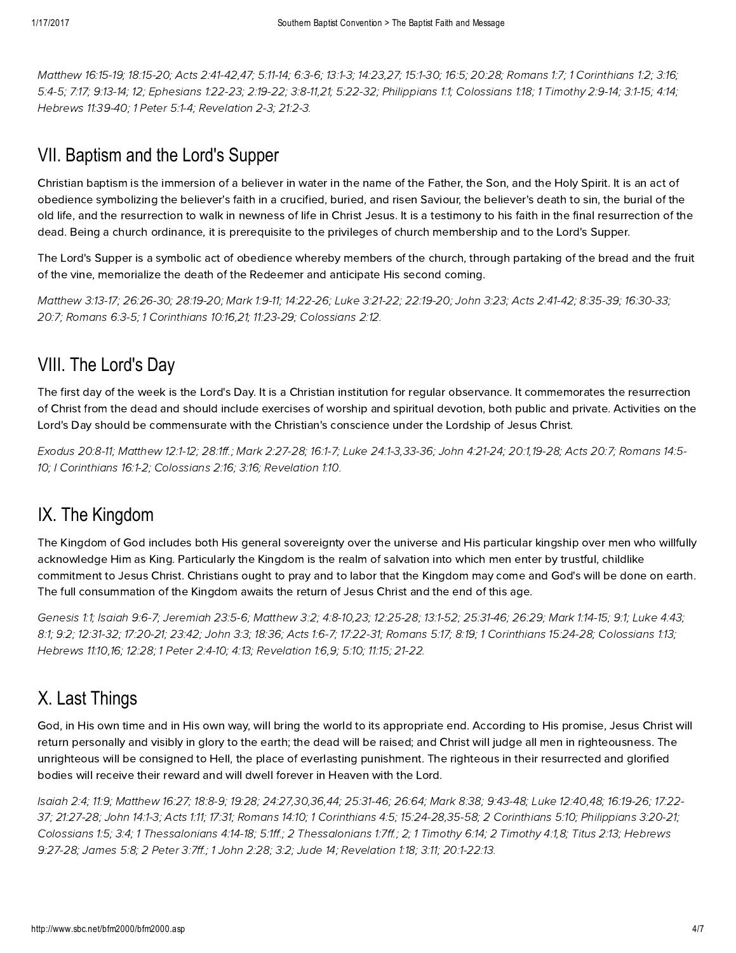[Matthew](http://biblia.com/bible/hcsb/Matthew%2016.15-19) 16:15-19; [18:15-20](http://biblia.com/bible/hcsb/Matthew%2018.15-20); Acts [2:41-42](http://biblia.com/bible/hcsb/Acts%202.41-42)[,47;](http://biblia.com/bible/hcsb/Acts%202.47) [5:11-14](http://biblia.com/bible/hcsb/Acts%205.11-14); [6:3-6;](http://biblia.com/bible/hcsb/Acts%206.3-6) [13:1-3](http://biblia.com/bible/hcsb/Acts%2013.1-3); [14:23,](http://biblia.com/bible/hcsb/Acts%2014.23)[27](http://biblia.com/bible/hcsb/Acts%2014.27); [15:1-30](http://biblia.com/bible/hcsb/Acts%2015.1-30); [16:5;](http://biblia.com/bible/hcsb/Acts%2016.5) [20:28](http://biblia.com/bible/hcsb/Acts%2020.28); [Romans](http://biblia.com/bible/hcsb/Romans%201.7) 1:7; 1 [Corinthians](http://biblia.com/bible/hcsb/1%20Corinthians%201.2) 1:2; [3:16;](http://biblia.com/bible/hcsb/1%20Corinthians%203.16) [5:4-5](http://biblia.com/bible/hcsb/1%20Corinthians%205.4-5); [7:17](http://biblia.com/bible/hcsb/1%20Corinthians%207.17); [9:13-14;](http://biblia.com/bible/hcsb/1%20Corinthians%209.13-14) [12;](http://biblia.com/bible/hcsb/1%20Corinthians%209.12) [phesians](http://biblia.com/bible/hcsb/Ephesians%201.22-23) 1:22-23; [2:19-22;](http://biblia.com/bible/hcsb/Ephesians%202.19-22) [3:8-11](http://biblia.com/bible/hcsb/Ephesians%203.8-11),[21;](http://biblia.com/bible/hcsb/Ephesians%203.21) [5:22-32;](http://biblia.com/bible/hcsb/Ephesians%205.22-32) [Philippians](http://biblia.com/bible/hcsb/Philippians%201.1) 1:1; [Colossians](http://biblia.com/bible/hcsb/Colossians%201.18) 1:18; 1 [Timoth](http://biblia.com/bible/hcsb/1%20Timothy%202.9-14) 2:9-14; [3:1-15;](http://biblia.com/bible/hcsb/1%20Timothy%203.1-15) [4:14](http://biblia.com/bible/hcsb/1%20Timothy%204.14); Hebrews 11:39-40; 1 [Peter](http://biblia.com/bible/hcsb/1%20Peter%205.1-4) 5:1-4; Revelation 2-3; 21:2-3.

### VII. Baptism and the Lord's Supper

Christian baptism is the immersion of a believer in water in the name of the Father, the Son, and the Holy Spirit. It is an act of obedience symbolizing the believer's faith in a crucified, buried, and risen Saviour, the believer's death to sin, the burial of the old life, and the resurrection to walk in newness of life in Christ Jesus. It is a testimony to his faith in the final resurrection of the dead. Being a church ordinance, it is prerequisite to the privileges of church membership and to the Lord's Supper.

The Lord's Supper is a symbolic act of obedience whereby members of the church, through partaking of the bread and the fruit of the vine, memorialize the death of the Redeemer and anticipate His second coming.

[Matthew](http://biblia.com/bible/hcsb/Matthew%203.13-17) 3:13-17; [26:26-30;](http://biblia.com/bible/hcsb/Matthew%2026.26-30) [28:19-20](http://biblia.com/bible/hcsb/Matthew%2028.19-20); [Mark](http://biblia.com/bible/hcsb/Mark%201.9-11) 1:9-11; [14:22-26](http://biblia.com/bible/hcsb/Mark%2014.22-26); Luke [3:21-22](http://biblia.com/bible/hcsb/Luke%203.21-22); [22:19-20;](http://biblia.com/bible/hcsb/Luke%2022.19-20) [John](http://biblia.com/bible/hcsb/John%203.23) 3:23; Acts [2:41-42](http://biblia.com/bible/hcsb/Acts%202.41-42); [8:35-39;](http://biblia.com/bible/hcsb/Acts%208.35-39) [16:30-33](http://biblia.com/bible/hcsb/Acts%2016.30-33); [20:7;](http://biblia.com/bible/hcsb/Acts%2020.7) [Romans](http://biblia.com/bible/hcsb/Romans%206.3-5) 6:3-5; 1 [Corinthians](http://biblia.com/bible/hcsb/1%20Corinthians%2010.16) 10:16[,21](http://biblia.com/bible/hcsb/1%20Corinthians%2010.21); [11:23-29](http://biblia.com/bible/hcsb/1%20Corinthians%2011.23-29); [Colossians](http://biblia.com/bible/hcsb/Colossians%202.12) 2:12.

# VIII. The Lord's Day

The first day of the week is the Lord's Day. It is a Christian institution for regular observance. It commemorates the resurrection of Christ from the dead and should include exercises of worship and spiritual devotion, oth pulic and private. Activities on the Lord's Day should be commensurate with the Christian's conscience under the Lordship of Jesus Christ.

[xodus](http://biblia.com/bible/hcsb/Exodus%2020.8-11) 20:8-11; [Matthew](http://biblia.com/bible/hcsb/Matthew%2012.1-12) 12:1-12; [28:1ff.](http://biblia.com/bible/hcsb/Matthew%2028.1ff); Mark [2:27-28;](http://biblia.com/bible/hcsb/Mark%202.27-28) [16:1-7](http://biblia.com/bible/hcsb/Mark%2016.1-7); Luke [24:1-3](http://biblia.com/bible/hcsb/Luke%2024.1-3)[,3](http://biblia.com/bible/hcsb/Romans%2014.5-10)[3-36](http://biblia.com/bible/hcsb/Luke%2024.33-36)[;](http://biblia.com/bible/hcsb/Romans%2014.5-10) John [4:21-24](http://biblia.com/bible/hcsb/John%204.21-24); [20:1,](http://biblia.com/bible/hcsb/John%2020.1)[19-28](http://biblia.com/bible/hcsb/John%2020.19-28); Acts [20:7;](http://biblia.com/bible/hcsb/Acts%2020.7) Romans 14:5- 10; I [Corinthians](http://biblia.com/bible/hcsb/I%20Corinthians%2016.1-2) 16:1-2; [Colossians](http://biblia.com/bible/hcsb/Colossians%202.16) 2:16; [3:16](http://biblia.com/bible/hcsb/Colossians%203.16); [Revelation](http://biblia.com/bible/hcsb/Revelation%201.10) 1:10.

# IX. The Kingdom

The Kingdom of God includes both His general sovereignty over the universe and His particular kingship over men who willfully acknowledge Him as King. Particularly the Kingdom is the realm of salvation into which men enter by trustful, childlike commitment to Jesus Christ. Christians ought to pray and to labor that the Kingdom may come and God's will be done on earth. The full consummation of the Kingdom awaits the return of Jesus Christ and the end of this age.

[Genesis](http://biblia.com/bible/hcsb/Genesis%201.1) 1:1; [Isaiah](http://biblia.com/bible/hcsb/Isaiah%209.6-7) 9:6-7; [Jeremiah](http://biblia.com/bible/hcsb/Jeremiah%2023.5-6) 23:5-6; [Matthew](http://biblia.com/bible/hcsb/Matthew%203.2) 3:2; [4:8-10](http://biblia.com/bible/hcsb/Matthew%204.8-10)[,23](http://biblia.com/bible/hcsb/Matthew%204.23); [12:25-28;](http://biblia.com/bible/hcsb/Matthew%2012.25-28) [13:1-52](http://biblia.com/bible/hcsb/Matthew%2013.1-52); [25:31-46](http://biblia.com/bible/hcsb/Matthew%2025.31-46); [26:29](http://biblia.com/bible/hcsb/Matthew%2026.29); Mark [1:14-15](http://biblia.com/bible/hcsb/Mark%201.14-15); [9:1](http://biblia.com/bible/hcsb/Mark%209.1); [Luke](http://biblia.com/bible/hcsb/Luke%204.43) 4:43; [8:1;](http://biblia.com/bible/hcsb/Luke%208.1) [9:2](http://biblia.com/bible/hcsb/Luke%209.2); [12:31-32;](http://biblia.com/bible/hcsb/Luke%2012.31-32) [17:20-21;](http://biblia.com/bible/hcsb/Luke%2017.20-21) [23:42;](http://biblia.com/bible/hcsb/Luke%2023.42) [John](http://biblia.com/bible/hcsb/John%203.3) 3:3; [18:36;](http://biblia.com/bible/hcsb/John%2018.36) Acts [1:6-7](http://biblia.com/bible/hcsb/Acts%201.6-7); [17:22-31;](http://biblia.com/bible/hcsb/Acts%2017.22-31) [Romans](http://biblia.com/bible/hcsb/Romans%205.17) 5:17; [8:19;](http://biblia.com/bible/hcsb/Romans%208.19) 1 [Corinthians](http://biblia.com/bible/hcsb/1%20Corinthians%2015.24-28) 15:24-28; [Colossians](http://biblia.com/bible/hcsb/Colossians%201.13) 1:13; Hebrews 11:10,[16;](http://biblia.com/bible/hcsb/Hebrews%2011.16) [12:28](http://biblia.com/bible/hcsb/Hebrews%2012.28); 1 Peter [2:4-10](http://biblia.com/bible/hcsb/1%20Peter%202.4-10); [4:13;](http://biblia.com/bible/hcsb/1%20Peter%204.13) [Revelation](http://biblia.com/bible/hcsb/Revelation%201.6) 1:6[,9;](http://biblia.com/bible/hcsb/Revelation%201.9) [5:10;](http://biblia.com/bible/hcsb/Revelation%205.10) [11:15;](http://biblia.com/bible/hcsb/Revelation%2011.15) [21-22.](http://biblia.com/bible/hcsb/Revelation%2011.21-22)

# X. Last Things

God, in His own time and in His own way, will bring the world to its appropriate end. According to His promise, Jesus Christ will return personally and visibly in glory to the earth; the dead will be raised; and Christ will judge all men in righteousness. The unrighteous will be consigned to Hell, the place of everlasting punishment. The righteous in their resurrected and glorified bodies will receive their reward and will dwell forever in Heaven with the Lord.

[Isaiah](http://biblia.com/bible/hcsb/Isaiah%202.4) 2:4; [11:9](http://biblia.com/bible/hcsb/Isaiah%2011.9); [Matthew](http://biblia.com/bible/hcsb/Matthew%2016.27) 16:27; [18:8-9;](http://biblia.com/bible/hcsb/Matthew%2018.8-9) [19:28;](http://biblia.com/bible/hcsb/Matthew%2019.28) [24:27](http://biblia.com/bible/hcsb/Matthew%2024.27)[,30](http://biblia.com/bible/hcsb/Matthew%2024.30)[,36](http://biblia.com/bible/hcsb/Matthew%2024.36)[,44](http://biblia.com/bible/hcsb/Matthew%2024.44); [25:31-46;](http://biblia.com/bible/hcsb/Matthew%2025.31-46) [26:64](http://biblia.com/bible/hcsb/Matthew%2026.64); [Mark](http://biblia.com/bible/hcsb/Mark%208.38) 8:38; [9:43-48](http://biblia.com/bible/hcsb/Mark%209.43-48); Luke [12:40,](http://biblia.com/bible/hcsb/Luke%2012.40)[48](http://biblia.com/bible/hcsb/Luke%2012.48); [16:19-26;](http://biblia.com/bible/hcsb/Luke%2016.19-26) 17:22- 37; [21:27-28;](http://biblia.com/bible/hcsb/Luke%2021.27-28) John [14:1-3](http://biblia.com/bible/hcsb/John%2014.1-3); [Acts](http://biblia.com/bible/hcsb/Acts%201.11) 1:11; [17:31](http://biblia.com/bible/hcsb/Acts%2017.31); [Romans](http://biblia.com/bible/hcsb/Romans%2014.10) 14:10; 1 [Corinthians](http://biblia.com/bible/hcsb/1%20Corinthians%204.5) 4:5; [15:24-28,35-58;](http://biblia.com/bible/hcsb/Luke%2017.22-37) 2 [Corinthians](http://biblia.com/bible/hcsb/2%20Corinthians%205.10) 5:10; [Philippians](http://biblia.com/bible/hcsb/Philippians%203.20-21) 3:20-21; [Colossians](http://biblia.com/bible/hcsb/Colossians%201.5) 1:5; [3:4](http://biblia.com/bible/hcsb/Colossians%203.4); 1 [Thessalonians](http://biblia.com/bible/hcsb/2%20Thessalonians%201.7ff) 4:14-18; [5:1ff](http://biblia.com/bible/hcsb/1%20Thessalonians%205.1ff).; 2 Thessalonians 1:7ff.; [2;](http://biblia.com/bible/hcsb/2%20Thessalonians%201.2) 1 [Timoth](http://biblia.com/bible/hcsb/2%20Timothy%204.1)y 6:14; 2 Timothy 4:1[,8](http://biblia.com/bible/hcsb/2%20Timothy%204.8); [Titus](http://biblia.com/bible/hcsb/Titus%202.13) 2:13; Hebrews 9:27-28; [James](http://biblia.com/bible/hcsb/James%205.8) 5:8; 2 [Peter](http://biblia.com/bible/hcsb/2%20Peter%203.7ff) 3:7ff.; 1 [John](http://biblia.com/bible/hcsb/1%20John%202.28) 2:28; [3:2](http://biblia.com/bible/hcsb/1%20John%203.2); [Jude](http://biblia.com/bible/hcsb/Jude%2014) 14; [Revelation](http://biblia.com/bible/hcsb/Revelation%201.18) 1:18; [3:11;](http://biblia.com/bible/hcsb/Revelation%203.11) [20:1-22:13](http://biblia.com/bible/hcsb/Revelation%2020.1-22.13).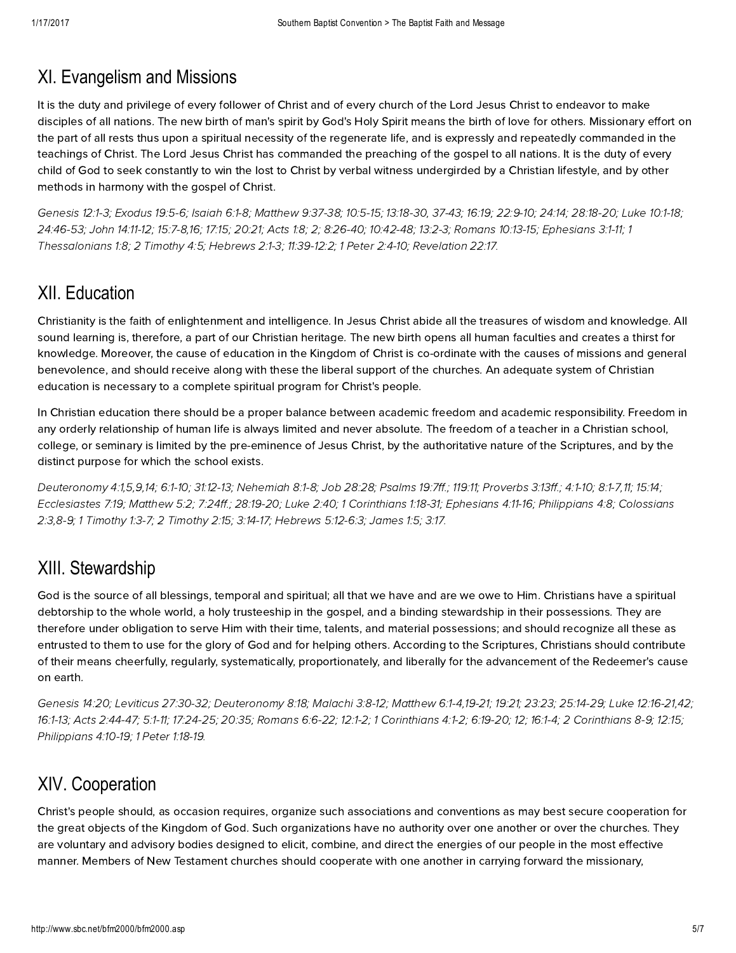### XI. Evangelism and Missions

It is the duty and privilege of every follower of Christ and of every church of the Lord Jesus Christ to endeavor to make disciples of all nations. The new birth of man's spirit by God's Holy Spirit means the birth of love for others. Missionary effort on the part of all rests thus upon a spiritual necessity of the regenerate life, and is expressly and repeatedly commanded in the teachings of Christ. The Lord Jesus Christ has commanded the preaching of the gospel to all nations. It is the duty of every child of God to seek constantly to win the lost to Christ by verbal witness undergirded by a Christian lifestyle, and by other methods in harmony with the gospel of Christ.

[Genesis](http://biblia.com/bible/hcsb/Genesis%2012.1-3) 12:1-3; [xodus](http://biblia.com/bible/hcsb/Exodus%2019.5-6) 19:5-6; [Isaiah](http://biblia.com/bible/hcsb/Isaiah%206.1-8) 6:1-8; [Matthew](http://biblia.com/bible/hcsb/Matthew%209.37-38) 9:37-38; [10:5-15](http://biblia.com/bible/hcsb/Matthew%2010.5-15); [13:18-30,](http://biblia.com/bible/hcsb/Matthew%2013.18-30) [37-43;](http://biblia.com/bible/hcsb/Matthew%2013.37-43) [16:19;](http://biblia.com/bible/hcsb/Matthew%2016.19) [22:9-10;](http://biblia.com/bible/hcsb/Matthew%2022.9-10) [24:14](http://biblia.com/bible/hcsb/Matthew%2024.14); [28:18-20;](http://biblia.com/bible/hcsb/Matthew%2028.18-20) Luke [10:1-18](http://biblia.com/bible/hcsb/Luke%2010.1-18); [24:46-53;](http://biblia.com/bible/hcsb/Luke%2024.46-53) John [14:11-12;](http://biblia.com/bible/hcsb/John%2014.11-12) [15:7-8](http://biblia.com/bible/hcsb/John%2015.7-8),[16;](http://biblia.com/bible/hcsb/John%2015.16) [17:15](http://biblia.com/bible/hcsb/John%2017.15); [20:21](http://biblia.com/bible/hcsb/John%2020.21); [Acts](http://biblia.com/bible/hcsb/Acts%201.8) 1:8; [2](http://biblia.com/bible/hcsb/Acts%201.2); [8:26-40;](http://biblia.com/bible/hcsb/Acts%208.26-40) [10:42-48;](http://biblia.com/bible/hcsb/Acts%2010.42-48) [13:2-3;](http://biblia.com/bible/hcsb/Acts%2013.2-3) [Romans](http://biblia.com/bible/hcsb/Romans%2010.13-15) 10:13-15; E[phesians](http://biblia.com/bible/hcsb/Ephesians%203.1-11) 3:1-11; 1 [Thessalonians](http://biblia.com/bible/hcsb/1%20Thessalonians%201.8) 1:8; 2 [Timoth](http://biblia.com/bible/hcsb/2%20Timothy%204.5)y 4:5; Hebrews 2:1-3; [11:39-12:2;](http://biblia.com/bible/hcsb/Hebrews%2011.39-12.2) 1 Peter [2:4-10;](http://biblia.com/bible/hcsb/1%20Peter%202.4-10) [Revelation](http://biblia.com/bible/hcsb/Revelation%2022.17) 22:17.

### XII. Education

Christianity is the faith of enlightenment and intelligence. In Jesus Christ abide all the treasures of wisdom and knowledge. All sound learning is, therefore, a part of our Christian heritage. The new birth opens all human faculties and creates a thirst for knowledge. Moreover, the cause of education in the Kingdom of Christ is co-ordinate with the causes of missions and general benevolence, and should receive along with these the liberal support of the churches. An adequate system of Christian education is necessary to a complete spiritual program for Christ's people.

In Christian education there should be a proper balance between academic freedom and academic responsibility. Freedom in any orderly relationship of human life is always limited and never absolute. The freedom of a teacher in a Christian school, college, or seminary is limited by the pre-eminence of Jesus Christ, by the authoritative nature of the Scriptures, and by the distinct purpose for which the school exists.

[Deuteronom](http://biblia.com/bible/hcsb/Deuteronomy%204.1)y 4:1,[5,](http://biblia.com/bible/hcsb/Deuteronomy%204.5)[9,](http://biblia.com/bible/hcsb/Deuteronomy%204.9)[14](http://biblia.com/bible/hcsb/Deuteronomy%204.14); [6:1-10;](http://biblia.com/bible/hcsb/Deuteronomy%206.1-10) [31:12-13](http://biblia.com/bible/hcsb/Deuteronomy%2031.12-13); [Nehemiah](http://biblia.com/bible/hcsb/Nehemiah%208.1-8) 8:1-8; Job [28:28](http://biblia.com/bible/hcsb/Job%2028.28); [Psalms](http://biblia.com/bible/hcsb/Psalms%2019.7ff) 19:7ff.; [119:11](http://biblia.com/bible/hcsb/Psalms%20119.11); Proverbs 3:13ff.; [4:1-10](http://biblia.com/bible/hcsb/Proverbs%204.1-10); [8:1-7,](http://biblia.com/bible/hcsb/Proverbs%208.1-7)[11;](http://biblia.com/bible/hcsb/Proverbs%208.11) [15:14;](http://biblia.com/bible/hcsb/Proverbs%2015.14) E[cclesiastes](http://biblia.com/bible/hcsb/Ecclesiastes%207.19) 7:19; [Matthew](http://biblia.com/bible/hcsb/Matthew%205.2) 5:2; [7:24ff](http://biblia.com/bible/hcsb/Matthew%207.24ff).; [28:19-20](http://biblia.com/bible/hcsb/Matthew%2028.19-20); [Luke](http://biblia.com/bible/hcsb/Luke%202.40) 2:40; 1 [Corinthians](http://biblia.com/bible/hcsb/1%20Corinthians%201.18-31) 1:18-31; E[phesians](http://biblia.com/bible/hcsb/Ephesians%204.11-16) 4:11-16; [Philippians](http://biblia.com/bible/hcsb/Philippians%204.8) 4:8; Colossians 2:3,[8-9](http://biblia.com/bible/hcsb/Colossians%202.8-9): 1 [Timoth](http://biblia.com/bible/hcsb/2%20Timothy%202.15)y 1:3-7; 2 Timothy 2:15; [3:14-17;](http://biblia.com/bible/hcsb/2%20Timothy%203.14-17) Hebrews 5:12-6:3; [James](http://biblia.com/bible/hcsb/James%201.5) 1:5; [3:17](http://biblia.com/bible/hcsb/James%203.17).

#### XIII. Stewardship

God is the source of all blessings, temporal and spiritual; all that we have and are we owe to Him. Christians have a spiritual debtorship to the whole world, a holy trusteeship in the gospel, and a binding stewardship in their possessions. They are therefore under oligation to serve Him with their time, talents, and material possessions; and should recognize all these as entrusted to them to use for the glory of God and for helping others. According to the Scriptures, Christians should contribute of their means cheerfully, regularly, systematically, proportionately, and liberally for the advancement of the Redeemer's cause on earth.

[Genesis](http://biblia.com/bible/hcsb/Genesis%2014.20) 14:20; Leviticus [27:30-32](http://biblia.com/bible/hcsb/Leviticus%2027.30-32); [Deuteronom](http://biblia.com/bible/hcsb/Deuteronomy%208.18)y 8:18; [Malachi](http://biblia.com/bible/hcsb/Malachi%203.8-12) 3:8-12; [Matthew](http://biblia.com/bible/hcsb/Matthew%206.1-4) 6:1-4[,19-21;](http://biblia.com/bible/hcsb/Matthew%206.19-21) [19:21;](http://biblia.com/bible/hcsb/Matthew%2019.21) [23:23](http://biblia.com/bible/hcsb/Matthew%2023.23); [25:14-29](http://biblia.com/bible/hcsb/Matthew%2025.14-29); Luke [12:16-21,](http://biblia.com/bible/hcsb/Luke%2012.16-21)[42](http://biblia.com/bible/hcsb/Luke%2012.42); [16:1-13;](http://biblia.com/bible/hcsb/Luke%2016.1-13) Acts [2:44-47;](http://biblia.com/bible/hcsb/Acts%202.44-47) [5:1-11;](http://biblia.com/bible/hcsb/Acts%205.1-11) [17:24-25](http://biblia.com/bible/hcsb/Acts%2017.24-25); [20:35;](http://biblia.com/bible/hcsb/Acts%2020.35) [Romans](http://biblia.com/bible/hcsb/Romans%206.6-22) 6:6-22; [12:1-2](http://biblia.com/bible/hcsb/Romans%2012.1-2); 1 [Corinthians](http://biblia.com/bible/hcsb/1%20Corinthians%204.1-2) 4:1-2; [6:19-20;](http://biblia.com/bible/hcsb/1%20Corinthians%206.19-20) [12](http://biblia.com/bible/hcsb/1%20Corinthians%206.12); [16:1-4;](http://biblia.com/bible/hcsb/1%20Corinthians%2016.1-4) 2 Corinthians 8-9; 12:15; [Philippians](http://biblia.com/bible/hcsb/Philippians%204.10-19) 4:10-19; 1 Peter [1:18-19](http://biblia.com/bible/hcsb/1%20Peter%201.18-19).

# XIV. Cooperation

Christ's people should, as occasion requires, organize such associations and conventions as may best secure cooperation for the great objects of the Kingdom of God. Such organizations have no authority over one another or over the churches. They are voluntary and advisory bodies designed to elicit, combine, and direct the energies of our people in the most effective manner. Members of New Testament churches should cooperate with one another in carrying forward the missionary,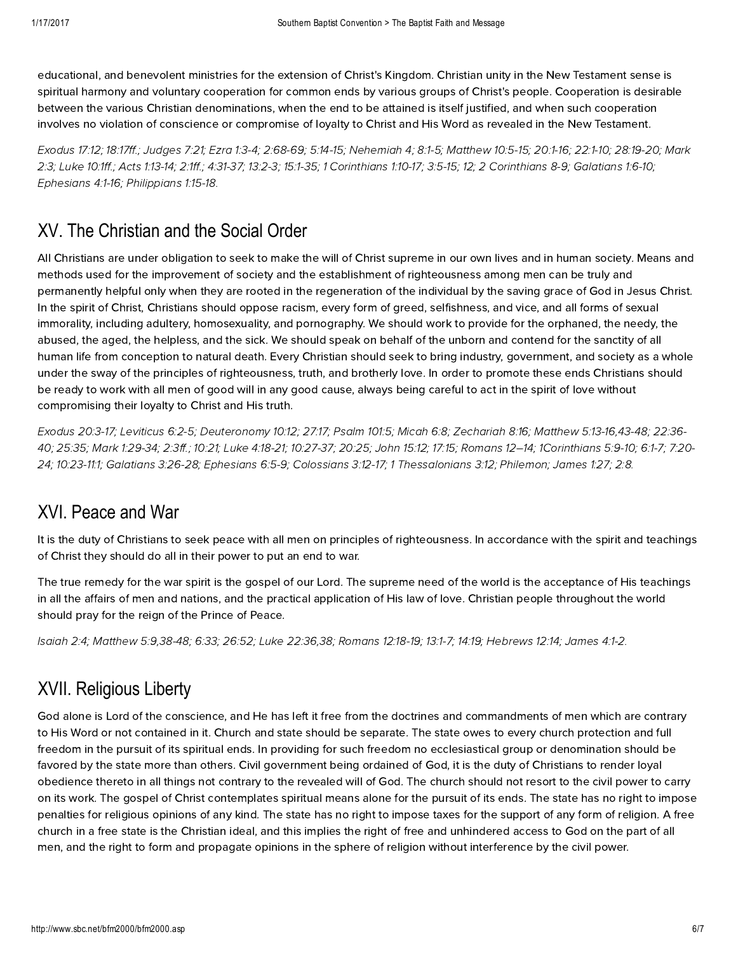educational, and benevolent ministries for the extension of Christ's Kingdom. Christian unity in the New Testament sense is spiritual harmony and voluntary cooperation for common ends by various groups of Christ's people. Cooperation is desirable between the various Christian denominations, when the end to be attained is itself justified, and when such cooperation involves no violation of conscience or compromise of loyalty to Christ and His Word as revealed in the New Testament.

E[xodus](http://biblia.com/bible/hcsb/Exodus%2017.12) 17:12; [18:17ff](http://biblia.com/bible/hcsb/Exodus%2018.17ff).; [Judges](http://biblia.com/bible/hcsb/Judges%207.21) 7:21; Ezra [1:3-4;](http://biblia.com/bible/hcsb/Ezra%201.3-4) [2:68-69;](http://biblia.com/bible/hcsb/Ezra%202.68-69) [5:14-15](http://biblia.com/bible/hcsb/Ezra%205.14-15); Nehemiah 4; 8:1-5; [Matthew](http://biblia.com/bible/hcsb/Matthew%2010.5-15) 10:5-15; [20:1-16](http://biblia.com/bible/hcsb/Matthew%2020.1-16); [22:1-10;](http://biblia.com/bible/hcsb/Matthew%2022.1-10) [28:19-20;](http://biblia.com/bible/hcsb/Matthew%2028.19-20) Mark 2:3; [Luke](http://biblia.com/bible/hcsb/Luke%2010.1ff) 10:1ff.; Acts [1:13-14;](http://biblia.com/bible/hcsb/Acts%201.13-14) [2:1ff.](http://biblia.com/bible/hcsb/Acts%202.1ff); [4:31-37;](http://biblia.com/bible/hcsb/Acts%204.31-37) [13:2-3](http://biblia.com/bible/hcsb/Acts%2013.2-3); [15:1-35](http://biblia.com/bible/hcsb/Acts%2015.1-35); 1 [Corinthians](http://biblia.com/bible/hcsb/1%20Corinthians%201.10-17) 1:10-17; [3:5-15;](http://biblia.com/bible/hcsb/1%20Corinthians%203.5-15) [12](http://biblia.com/bible/hcsb/1%20Corinthians%203.12); 2 [Corinthians](http://biblia.com/bible/hcsb/Mark%202.3) 8-9; [Galatians](http://biblia.com/bible/hcsb/Galatians%201.6-10) 1:6-10; [phesians](http://biblia.com/bible/hcsb/Ephesians%204.1-16) 4:1-16; [Philippians](http://biblia.com/bible/hcsb/Philippians%201.15-18) 1:15-18.

#### XV. The Christian and the Social Order

All Christians are under obligation to seek to make the will of Christ supreme in our own lives and in human society. Means and methods used for the improvement of society and the establishment of righteousness among men can be truly and permanently helpful only when they are rooted in the regeneration of the individual by the saving grace of God in Jesus Christ. In the spirit of Christ, Christians should oppose racism, every form of greed, selfishness, and vice, and all forms of sexual immorality, including adultery, homosexuality, and pornography. We should work to provide for the orphaned, the needy, the abused, the aged, the helpless, and the sick. We should speak on behalf of the unborn and contend for the sanctity of all human life from conception to natural death. Every Christian should seek to bring industry, government, and society as a whole under the sway of the principles of righteousness, truth, and brotherly love. In order to promote these ends Christians should be ready to work with all men of good will in any good cause, always being careful to act in the spirit of love without compromising their loyalty to Christ and His truth.

E[xodus](http://biblia.com/bible/hcsb/Exodus%2020.3-17) 20:3-17; [Leviticus](http://biblia.com/bible/hcsb/Leviticus%206.2-5) 6:2-5; [D](http://biblia.com/bible/hcsb/Matthew%2022.36-40)[euteronom](http://biblia.com/bible/hcsb/Deuteronomy%2010.12)y 10:12; [27:17](http://biblia.com/bible/hcsb/Deuteronomy%2027.17); [Psalm](http://biblia.com/bible/hcsb/Psalm%20101.5) 101:5; [Micah](http://biblia.com/bible/hcsb/Micah%206.8) 6:8; [Zechariah](http://biblia.com/bible/hcsb/Zechariah%208.16) 8:16; [Matthew](http://biblia.com/bible/hcsb/Matthew%205.13-16) 5:13-16[,43-48](http://biblia.com/bible/hcsb/Matthew%205.43-48); 22:36-40; [25:35](http://biblia.com/bible/hcsb/Matthew%2025.35); Mark [1:29-34](http://biblia.com/bible/hcsb/Mark%201.29-34); [2:3ff.](http://biblia.com/bible/hcsb/Mark%202.3ff); [10:21](http://biblia.com/bible/hcsb/Mark%2010.21); Luke [4:18-21](http://biblia.com/bible/hcsb/Luke%204.18-21); [10:27-37;](http://biblia.com/bible/hcsb/Luke%2010.27-37) [20:25;](http://biblia.com/bible/hcsb/Luke%2020.25) [John](http://biblia.com/bible/hcsb/John%2015.12) 15:12; [17:15;](http://biblia.com/bible/hcsb/John%2017.15) Romans 12–14; [1Corinthians](http://biblia.com/bible/hcsb/1Corinthians%205.9-10) 5:9-10; [6:1-7](http://biblia.com/bible/hcsb/1Corinthians%206.1-7); 7:20- 24; [10:23-11:1](http://biblia.com/bible/hcsb/1Corinthians%2010.23-11.1); [Galatians](http://biblia.com/bible/hcsb/Galatians%203.26-28) 3:26-28; E[phesians](http://biblia.com/bible/hcsb/Ephesians%206.5-9) 6:5-9; [Colossians](http://biblia.com/bible/hcsb/Colossians%203.12-17) 3:12-17; 1 [Thessalonians](http://biblia.com/bible/hcsb/1Corinthians%207.20-24) 3:12; Philemon; [James](http://biblia.com/bible/hcsb/James%201.27) 1:27; [2:8](http://biblia.com/bible/hcsb/James%202.8).

#### XVI. Peace and War

It is the duty of Christians to seek peace with all men on principles of righteousness. In accordance with the spirit and teachings of Christ they should do all in their power to put an end to war.

The true remedy for the war spirit is the gospel of our Lord. The supreme need of the world is the acceptance of His teachings in all the affairs of men and nations, and the practical application of His law of love. Christian people throughout the world should pray for the reign of the Prince of Peace.

[Isaiah](http://biblia.com/bible/hcsb/Isaiah%202.4) 2:4; [Matthew](http://biblia.com/bible/hcsb/Matthew%205.9) 5:9[,38-48](http://biblia.com/bible/hcsb/Matthew%205.38-48); [6:33;](http://biblia.com/bible/hcsb/Matthew%206.33) [26:52;](http://biblia.com/bible/hcsb/Matthew%2026.52) Luke [22:36](http://biblia.com/bible/hcsb/Luke%2022.36)[,38](http://biblia.com/bible/hcsb/Luke%2022.38); [Romans](http://biblia.com/bible/hcsb/Romans%2012.18-19) 12:18-19; [13:1-7;](http://biblia.com/bible/hcsb/Romans%2013.1-7) [14:19;](http://biblia.com/bible/hcsb/Romans%2014.19) [Herews](http://biblia.com/bible/hcsb/Hebrews%2012.14) 12:14; [James](http://biblia.com/bible/hcsb/James%204.1-2) 4:1-2.

# XVII. Religious Liberty

God alone is Lord of the conscience, and He has left it free from the doctrines and commandments of men which are contrary to His Word or not contained in it. Church and state should be separate. The state owes to every church protection and full freedom in the pursuit of its spiritual ends. In providing for such freedom no ecclesiastical group or denomination should be favored by the state more than others. Civil government being ordained of God, it is the duty of Christians to render loyal obedience thereto in all things not contrary to the revealed will of God. The church should not resort to the civil power to carry on its work. The gospel of Christ contemplates spiritual means alone for the pursuit of its ends. The state has no right to impose penalties for religious opinions of any kind. The state has no right to impose taxes for the support of any form of religion. A free church in a free state is the Christian ideal, and this implies the right of free and unhindered access to God on the part of all men, and the right to form and propagate opinions in the sphere of religion without interference by the civil power.